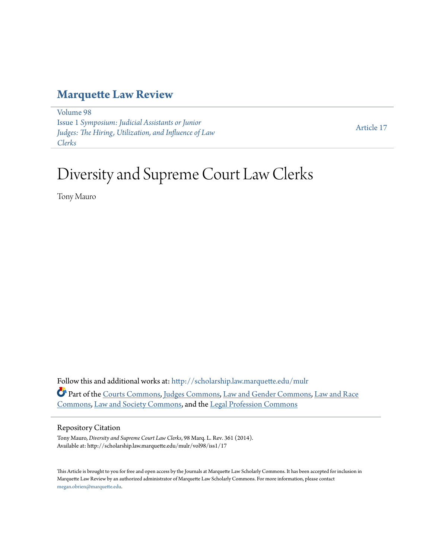## **[Marquette Law Review](http://scholarship.law.marquette.edu/mulr?utm_source=scholarship.law.marquette.edu%2Fmulr%2Fvol98%2Fiss1%2F17&utm_medium=PDF&utm_campaign=PDFCoverPages)**

[Volume 98](http://scholarship.law.marquette.edu/mulr/vol98?utm_source=scholarship.law.marquette.edu%2Fmulr%2Fvol98%2Fiss1%2F17&utm_medium=PDF&utm_campaign=PDFCoverPages) Issue 1 *[Symposium: Judicial Assistants or Junior](http://scholarship.law.marquette.edu/mulr/vol98/iss1?utm_source=scholarship.law.marquette.edu%2Fmulr%2Fvol98%2Fiss1%2F17&utm_medium=PDF&utm_campaign=PDFCoverPages) [Judges: The Hiring, Utilization, and Influence of Law](http://scholarship.law.marquette.edu/mulr/vol98/iss1?utm_source=scholarship.law.marquette.edu%2Fmulr%2Fvol98%2Fiss1%2F17&utm_medium=PDF&utm_campaign=PDFCoverPages) [Clerks](http://scholarship.law.marquette.edu/mulr/vol98/iss1?utm_source=scholarship.law.marquette.edu%2Fmulr%2Fvol98%2Fiss1%2F17&utm_medium=PDF&utm_campaign=PDFCoverPages)*

[Article 17](http://scholarship.law.marquette.edu/mulr/vol98/iss1/17?utm_source=scholarship.law.marquette.edu%2Fmulr%2Fvol98%2Fiss1%2F17&utm_medium=PDF&utm_campaign=PDFCoverPages)

# Diversity and Supreme Court Law Clerks

Tony Mauro

Follow this and additional works at: [http://scholarship.law.marquette.edu/mulr](http://scholarship.law.marquette.edu/mulr?utm_source=scholarship.law.marquette.edu%2Fmulr%2Fvol98%2Fiss1%2F17&utm_medium=PDF&utm_campaign=PDFCoverPages) Part of the [Courts Commons](http://network.bepress.com/hgg/discipline/839?utm_source=scholarship.law.marquette.edu%2Fmulr%2Fvol98%2Fiss1%2F17&utm_medium=PDF&utm_campaign=PDFCoverPages), [Judges Commons,](http://network.bepress.com/hgg/discipline/849?utm_source=scholarship.law.marquette.edu%2Fmulr%2Fvol98%2Fiss1%2F17&utm_medium=PDF&utm_campaign=PDFCoverPages) [Law and Gender Commons](http://network.bepress.com/hgg/discipline/1298?utm_source=scholarship.law.marquette.edu%2Fmulr%2Fvol98%2Fiss1%2F17&utm_medium=PDF&utm_campaign=PDFCoverPages), [Law and Race](http://network.bepress.com/hgg/discipline/1300?utm_source=scholarship.law.marquette.edu%2Fmulr%2Fvol98%2Fiss1%2F17&utm_medium=PDF&utm_campaign=PDFCoverPages) [Commons,](http://network.bepress.com/hgg/discipline/1300?utm_source=scholarship.law.marquette.edu%2Fmulr%2Fvol98%2Fiss1%2F17&utm_medium=PDF&utm_campaign=PDFCoverPages) [Law and Society Commons](http://network.bepress.com/hgg/discipline/853?utm_source=scholarship.law.marquette.edu%2Fmulr%2Fvol98%2Fiss1%2F17&utm_medium=PDF&utm_campaign=PDFCoverPages), and the [Legal Profession Commons](http://network.bepress.com/hgg/discipline/1075?utm_source=scholarship.law.marquette.edu%2Fmulr%2Fvol98%2Fiss1%2F17&utm_medium=PDF&utm_campaign=PDFCoverPages)

#### Repository Citation

Tony Mauro, *Diversity and Supreme Court Law Clerks*, 98 Marq. L. Rev. 361 (2014). Available at: http://scholarship.law.marquette.edu/mulr/vol98/iss1/17

This Article is brought to you for free and open access by the Journals at Marquette Law Scholarly Commons. It has been accepted for inclusion in Marquette Law Review by an authorized administrator of Marquette Law Scholarly Commons. For more information, please contact [megan.obrien@marquette.edu.](mailto:megan.obrien@marquette.edu)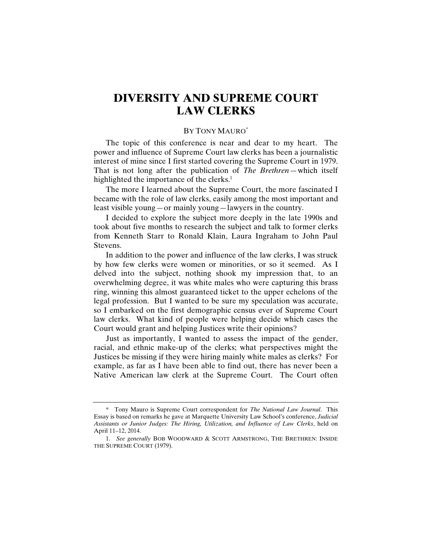### **DIVERSITY AND SUPREME COURT LAW CLERKS**

#### BY TONY MAURO\*

The topic of this conference is near and dear to my heart. The power and influence of Supreme Court law clerks has been a journalistic interest of mine since I first started covering the Supreme Court in 1979. That is not long after the publication of *The Brethren*—which itself highlighted the importance of the clerks.<sup>1</sup>

The more I learned about the Supreme Court, the more fascinated I became with the role of law clerks, easily among the most important and least visible young—or mainly young—lawyers in the country.

I decided to explore the subject more deeply in the late 1990s and took about five months to research the subject and talk to former clerks from Kenneth Starr to Ronald Klain, Laura Ingraham to John Paul Stevens.

In addition to the power and influence of the law clerks, I was struck by how few clerks were women or minorities, or so it seemed. As I delved into the subject, nothing shook my impression that, to an overwhelming degree, it was white males who were capturing this brass ring, winning this almost guaranteed ticket to the upper echelons of the legal profession. But I wanted to be sure my speculation was accurate, so I embarked on the first demographic census ever of Supreme Court law clerks. What kind of people were helping decide which cases the Court would grant and helping Justices write their opinions?

Just as importantly, I wanted to assess the impact of the gender, racial, and ethnic make-up of the clerks; what perspectives might the Justices be missing if they were hiring mainly white males as clerks? For example, as far as I have been able to find out, there has never been a Native American law clerk at the Supreme Court. The Court often

<sup>\*</sup> Tony Mauro is Supreme Court correspondent for *The National Law Journal*. This Essay is based on remarks he gave at Marquette University Law School's conference, *Judicial Assistants or Junior Judges: The Hiring, Utilization, and Influence of Law Clerks*, held on April 11–12, 2014.

<sup>1.</sup> *See generally* BOB WOODWARD & SCOTT ARMSTRONG, THE BRETHREN: INSIDE THE SUPREME COURT (1979).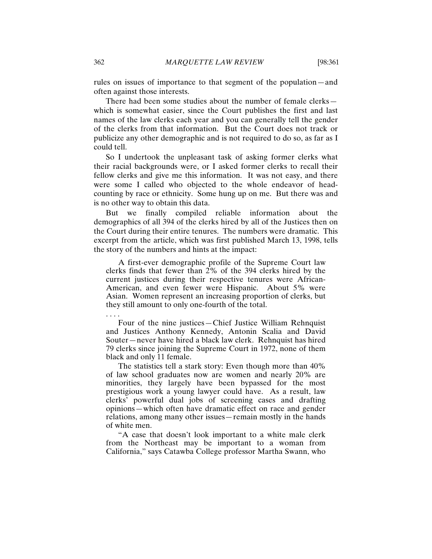rules on issues of importance to that segment of the population—and often against those interests.

There had been some studies about the number of female clerks which is somewhat easier, since the Court publishes the first and last names of the law clerks each year and you can generally tell the gender of the clerks from that information. But the Court does not track or publicize any other demographic and is not required to do so, as far as I could tell.

So I undertook the unpleasant task of asking former clerks what their racial backgrounds were, or I asked former clerks to recall their fellow clerks and give me this information. It was not easy, and there were some I called who objected to the whole endeavor of headcounting by race or ethnicity. Some hung up on me. But there was and is no other way to obtain this data.

But we finally compiled reliable information about the demographics of all 394 of the clerks hired by all of the Justices then on the Court during their entire tenures. The numbers were dramatic. This excerpt from the article, which was first published March 13, 1998, tells the story of the numbers and hints at the impact:

A first-ever demographic profile of the Supreme Court law clerks finds that fewer than 2% of the 394 clerks hired by the current justices during their respective tenures were African-American, and even fewer were Hispanic. About 5% were Asian. Women represent an increasing proportion of clerks, but they still amount to only one-fourth of the total.

Four of the nine justices—Chief Justice William Rehnquist and Justices Anthony Kennedy, Antonin Scalia and David Souter—never have hired a black law clerk. Rehnquist has hired 79 clerks since joining the Supreme Court in 1972, none of them black and only 11 female.

The statistics tell a stark story: Even though more than 40% of law school graduates now are women and nearly 20% are minorities, they largely have been bypassed for the most prestigious work a young lawyer could have. As a result, law clerks' powerful dual jobs of screening cases and drafting opinions—which often have dramatic effect on race and gender relations, among many other issues—remain mostly in the hands of white men.

"A case that doesn't look important to a white male clerk from the Northeast may be important to a woman from California," says Catawba College professor Martha Swann, who

. . . .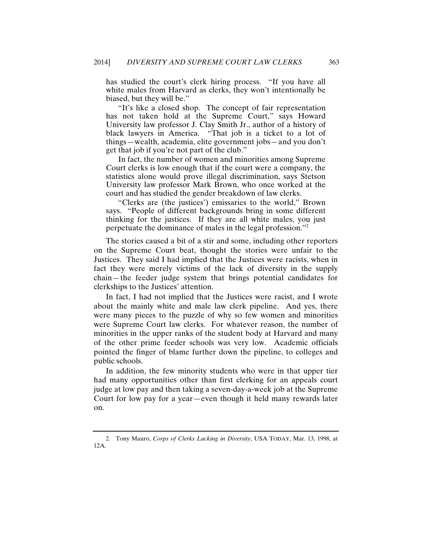has studied the court's clerk hiring process. "If you have all white males from Harvard as clerks, they won't intentionally be biased, but they will be."

"It's like a closed shop. The concept of fair representation has not taken hold at the Supreme Court," says Howard University law professor J. Clay Smith Jr., author of a history of black lawyers in America. "That job is a ticket to a lot of things—wealth, academia, elite government jobs—and you don't get that job if you're not part of the club."

In fact, the number of women and minorities among Supreme Court clerks is low enough that if the court were a company, the statistics alone would prove illegal discrimination, says Stetson University law professor Mark Brown, who once worked at the court and has studied the gender breakdown of law clerks.

"Clerks are (the justices') emissaries to the world," Brown says. "People of different backgrounds bring in some different thinking for the justices. If they are all white males, you just perpetuate the dominance of males in the legal profession."2

The stories caused a bit of a stir and some, including other reporters on the Supreme Court beat, thought the stories were unfair to the Justices. They said I had implied that the Justices were racists, when in fact they were merely victims of the lack of diversity in the supply chain—the feeder judge system that brings potential candidates for clerkships to the Justices' attention.

In fact, I had not implied that the Justices were racist, and I wrote about the mainly white and male law clerk pipeline. And yes, there were many pieces to the puzzle of why so few women and minorities were Supreme Court law clerks. For whatever reason, the number of minorities in the upper ranks of the student body at Harvard and many of the other prime feeder schools was very low. Academic officials pointed the finger of blame further down the pipeline, to colleges and public schools.

In addition, the few minority students who were in that upper tier had many opportunities other than first clerking for an appeals court judge at low pay and then taking a seven-day-a-week job at the Supreme Court for low pay for a year—even though it held many rewards later on.

<sup>2.</sup> Tony Mauro, *Corps of Clerks Lacking in Diversity*, USA TODAY, Mar. 13, 1998, at 12A.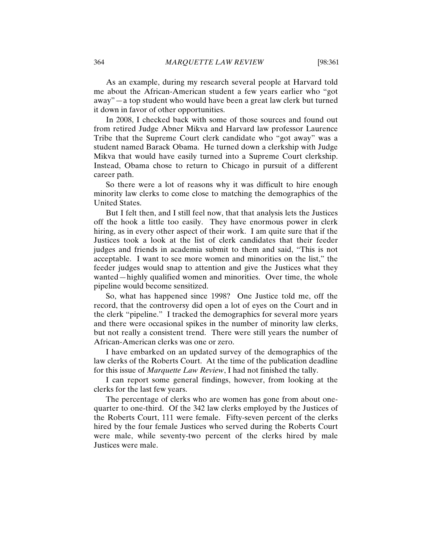As an example, during my research several people at Harvard told me about the African-American student a few years earlier who "got away"—a top student who would have been a great law clerk but turned it down in favor of other opportunities.

In 2008, I checked back with some of those sources and found out from retired Judge Abner Mikva and Harvard law professor Laurence Tribe that the Supreme Court clerk candidate who "got away" was a student named Barack Obama. He turned down a clerkship with Judge Mikva that would have easily turned into a Supreme Court clerkship. Instead, Obama chose to return to Chicago in pursuit of a different career path.

So there were a lot of reasons why it was difficult to hire enough minority law clerks to come close to matching the demographics of the United States.

But I felt then, and I still feel now, that that analysis lets the Justices off the hook a little too easily. They have enormous power in clerk hiring, as in every other aspect of their work. I am quite sure that if the Justices took a look at the list of clerk candidates that their feeder judges and friends in academia submit to them and said, "This is not acceptable. I want to see more women and minorities on the list," the feeder judges would snap to attention and give the Justices what they wanted—highly qualified women and minorities. Over time, the whole pipeline would become sensitized.

So, what has happened since 1998? One Justice told me, off the record, that the controversy did open a lot of eyes on the Court and in the clerk "pipeline." I tracked the demographics for several more years and there were occasional spikes in the number of minority law clerks, but not really a consistent trend. There were still years the number of African-American clerks was one or zero.

I have embarked on an updated survey of the demographics of the law clerks of the Roberts Court. At the time of the publication deadline for this issue of *Marquette Law Review*, I had not finished the tally.

I can report some general findings, however, from looking at the clerks for the last few years.

The percentage of clerks who are women has gone from about onequarter to one-third. Of the 342 law clerks employed by the Justices of the Roberts Court, 111 were female. Fifty-seven percent of the clerks hired by the four female Justices who served during the Roberts Court were male, while seventy-two percent of the clerks hired by male Justices were male.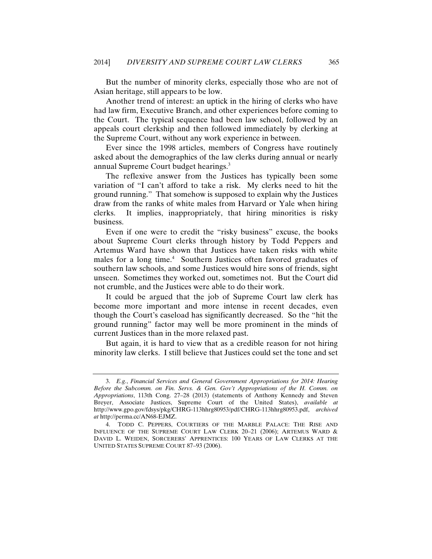But the number of minority clerks, especially those who are not of Asian heritage, still appears to be low.

Another trend of interest: an uptick in the hiring of clerks who have had law firm, Executive Branch, and other experiences before coming to the Court. The typical sequence had been law school, followed by an appeals court clerkship and then followed immediately by clerking at the Supreme Court, without any work experience in between.

Ever since the 1998 articles, members of Congress have routinely asked about the demographics of the law clerks during annual or nearly annual Supreme Court budget hearings.3

The reflexive answer from the Justices has typically been some variation of "I can't afford to take a risk. My clerks need to hit the ground running." That somehow is supposed to explain why the Justices draw from the ranks of white males from Harvard or Yale when hiring clerks. It implies, inappropriately, that hiring minorities is risky business.

Even if one were to credit the "risky business" excuse, the books about Supreme Court clerks through history by Todd Peppers and Artemus Ward have shown that Justices have taken risks with white males for a long time.<sup>4</sup> Southern Justices often favored graduates of southern law schools, and some Justices would hire sons of friends, sight unseen. Sometimes they worked out, sometimes not. But the Court did not crumble, and the Justices were able to do their work.

It could be argued that the job of Supreme Court law clerk has become more important and more intense in recent decades, even though the Court's caseload has significantly decreased. So the "hit the ground running" factor may well be more prominent in the minds of current Justices than in the more relaxed past.

But again, it is hard to view that as a credible reason for not hiring minority law clerks. I still believe that Justices could set the tone and set

<sup>3.</sup> *E.g.*, *Financial Services and General Government Appropriations for 2014: Hearing Before the Subcomm. on Fin. Servs. & Gen. Gov't Appropriations of the H. Comm. on Appropriations*, 113th Cong. 27–28 (2013) (statements of Anthony Kennedy and Steven Breyer, Associate Justices, Supreme Court of the United States), *available at*  http://www.gpo.gov/fdsys/pkg/CHRG-113hhrg80953/pdf/CHRG-113hhrg80953.pdf, *archived at* http://perma.cc/AN68-EJMZ.

<sup>4.</sup> TODD C. PEPPERS, COURTIERS OF THE MARBLE PALACE: THE RISE AND INFLUENCE OF THE SUPREME COURT LAW CLERK 20–21 (2006); ARTEMUS WARD & DAVID L. WEIDEN, SORCERERS' APPRENTICES: 100 YEARS OF LAW CLERKS AT THE UNITED STATES SUPREME COURT 87–93 (2006).